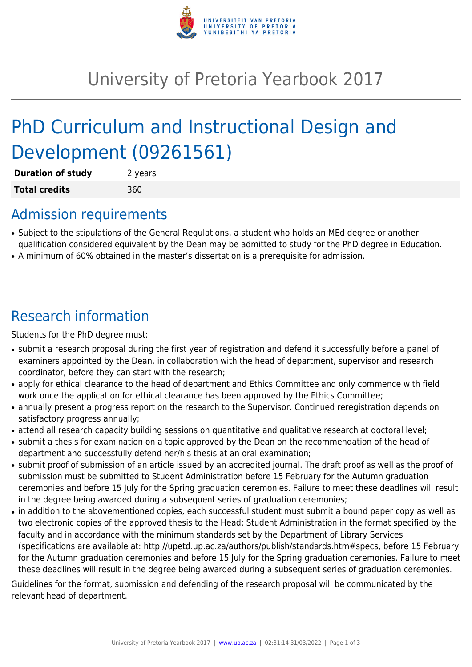

## University of Pretoria Yearbook 2017

# PhD Curriculum and Instructional Design and Development (09261561)

| <b>Duration of study</b> | 2 years |
|--------------------------|---------|
| <b>Total credits</b>     | 360     |

#### Admission requirements

- Subject to the stipulations of the General Regulations, a student who holds an MEd degree or another qualification considered equivalent by the Dean may be admitted to study for the PhD degree in Education.
- A minimum of 60% obtained in the master's dissertation is a prerequisite for admission.

## Research information

Students for the PhD degree must:

- submit a research proposal during the first year of registration and defend it successfully before a panel of examiners appointed by the Dean, in collaboration with the head of department, supervisor and research coordinator, before they can start with the research;
- apply for ethical clearance to the head of department and Ethics Committee and only commence with field work once the application for ethical clearance has been approved by the Ethics Committee;
- annually present a progress report on the research to the Supervisor. Continued reregistration depends on satisfactory progress annually;
- attend all research capacity building sessions on quantitative and qualitative research at doctoral level;
- submit a thesis for examination on a topic approved by the Dean on the recommendation of the head of department and successfully defend her/his thesis at an oral examination;
- submit proof of submission of an article issued by an accredited journal. The draft proof as well as the proof of submission must be submitted to Student Administration before 15 February for the Autumn graduation ceremonies and before 15 July for the Spring graduation ceremonies. Failure to meet these deadlines will result in the degree being awarded during a subsequent series of graduation ceremonies;
- in addition to the abovementioned copies, each successful student must submit a bound paper copy as well as two electronic copies of the approved thesis to the Head: Student Administration in the format specified by the faculty and in accordance with the minimum standards set by the Department of Library Services (specifications are available at: http://upetd.up.ac.za/authors/publish/standards.htm#specs, before 15 February for the Autumn graduation ceremonies and before 15 July for the Spring graduation ceremonies. Failure to meet these deadlines will result in the degree being awarded during a subsequent series of graduation ceremonies.

Guidelines for the format, submission and defending of the research proposal will be communicated by the relevant head of department.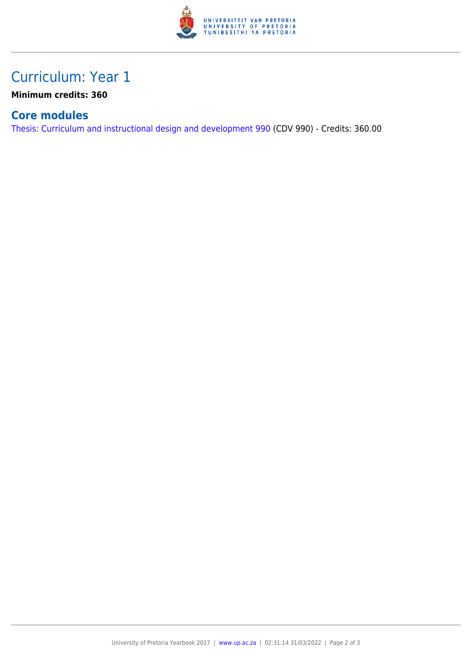

### Curriculum: Year 1

**Minimum credits: 360**

#### **Core modules**

[Thesis: Curriculum and instructional design and development 990](https://www.up.ac.za/yearbooks/2017/modules/view/CDV 990) (CDV 990) - Credits: 360.00